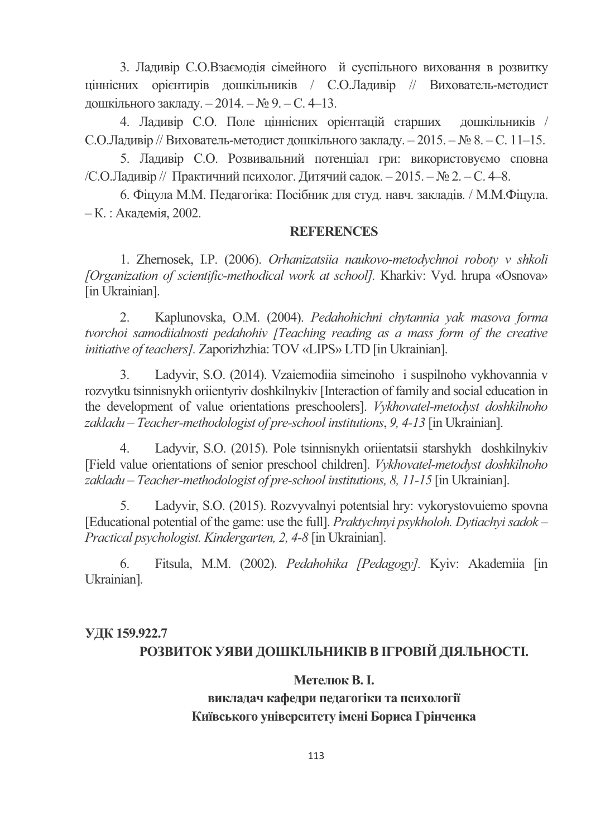3. Ладивір С.О.Взаємодія сімейного й суспільного виховання в розвитку ціннісних орієнтирів дошкільників / С.О.Ладивір // Вихователь-методист дошкільного закладу. – 2014. – № 9. – С. 4–13.

4. Ладивір С.О. Поле ціннісних орієнтацій старших дошкільників / С.О.Ладивір // Вихователь-методист дошкільного закладу. – 2015. – № 8. – С. 11–15.

5. Ладивір С.О. Розвивальний потенціал гри: використовуємо сповна /С.О.Ладивір // Практичний психолог. Дитячий садок. – 2015. – № 2. – С. 4–8.

6. Фіцула М.М. Педагогіка: Посібник для студ. навч. закладів. / М.М.Фіцула. – К. : Академія, 2002.

#### **REFERENCES**

1. Zhernosek, I.P. (2006). *Orhanizatsiia naukovo-metodychnoi roboty v shkoli [Organization of scientific-methodical work at school].* Kharkiv: Vyd. hrupa «Osnova» [in Ukrainian].

2. Kaplunovska, O.M. (2004). *Pedahohichni chytannia yak masova forma tvorchoi samodiialnosti pedahohiv [Teaching reading as a mass form of the creative initiative of teachers].* Zaporizhzhia: TOV «LIPS» LTD [in Ukrainian].

Ladyvir, S.O. (2014). Vzaiemodiia simeinoho i suspilnoho vykhovannia v rozvytku tsinnisnykh oriientyriv doshkilnykiv [Interaction of family and social education in the development of value orientations preschoolers]. *Vykhovatel-metodyst doshkilnoho zakladu* – *Teacher-methodologist of pre-school institutions*, *9, 4-13* [in Ukrainian].

4. Ladyvir, S.O. (2015). Pole tsinnisnykh oriientatsii starshykh doshkilnykiv [Field value orientations of senior preschool children]. *Vykhovatel-metodyst doshkilnoho zakladu* – *Teacher-methodologist of pre-school institutions, 8, 11-15* [in Ukrainian].

5. Ladyvir, S.O. (2015). Rozvyvalnyi potentsial hry: vykorystovuiemo spovna [Educational potential of the game: use the full]. *Praktychnyi psykholoh. Dytiachyi sadok – Practical psychologist. Kindergarten, 2, 4-8* [in Ukrainian].

6. Fitsula, M.M. (2002). *Pedahohika [Pedagogy].* Kyiv: Akademiia [in Ukrainian].

## **0 159.922.7**  <u>РОЗВИТОК УЯВИ ДОШКІЛЬНИКІВ В ІГРОВІЙ ДІЯЛЬНОСТІ.</u>

## **Метелюк В. І.**

## викладач кафедри педагогіки та психології **Київського університету імені Бориса Грінченка**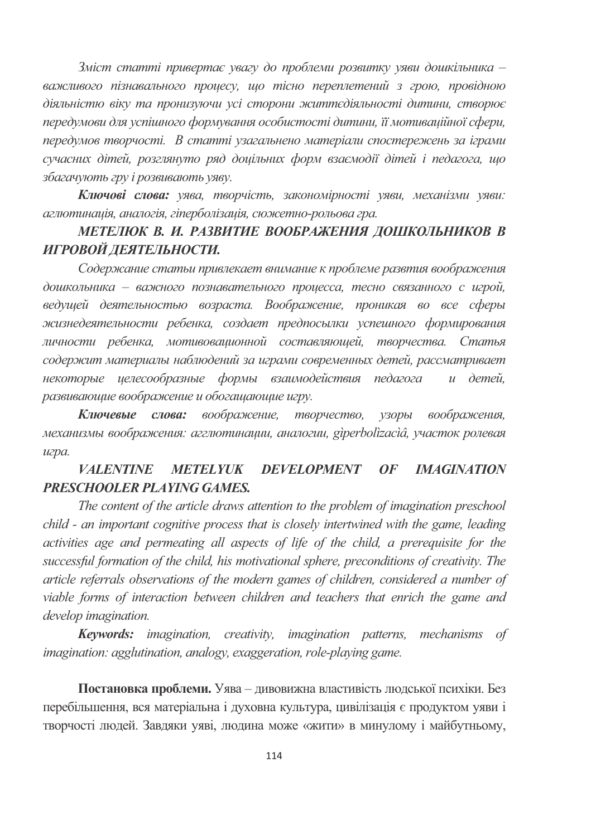Зміст статті привертає увагу до проблеми розвитку уяви дошкільника важливого пізнавального проиесу, що тісно переплетений з грою, провідною діяльністю віку та пронизуючи усі сторони життєдіяльності дитини, створює передумови для успішного формування особистості дитини, її мотиваційної сфери, передумов творчості. В статті узагальнено матеріали спостережень за іграми сучасних дітей, розглянуто ряд доцільних форм взаємодії дітей і педагога, що збагачують гру і розвивають уяву.

Ключові слова: уява, творчість, закономірності уяви, механізми уяви: аглютинація, аналогія, гіперболізація, сюжетно-рольова гра.

## МЕТЕЛЮК В. И. РАЗВИТИЕ ВООБРАЖЕНИЯ ДОШКОЛЬНИКОВ В ИГРОВОЙ ДЕЯТЕЛЬНОСТИ.

Содержание статьи привлекает внимание к проблеме развтия воображения дошкольника - важного познавательного проиесса, тесно связанного с игрой, ведущей деятельностью возраста. Воображение, проникая во все сферы жизнедеятельности ребенка, создает предпосылки успешного формирования личности ребенка, мотивовашонной составляющей, творчества. Статья содержит материалы наблюдений за играми современных детей, рассматривает некоторые целесообразные формы взаимодействия педагога  $u$  deme $\tilde{u}$ . развивающие воображение и обогащающие игру.

Ключевые слова: воображение, творчество, узоры воображения, механизмы воображения: агглютинации, аналогии, giperbolizaciâ, участок ролевая игра.

#### **VALENTINE METELYIK DEVELOPMENT IMAGINATION**  $OF$ **PRESCHOOLER PLAYING GAMES.**

The content of the article draws attention to the problem of imagination preschool child - an important cognitive process that is closely intertwined with the game, leading activities age and permeating all aspects of life of the child, a prerequisite for the successful formation of the child, his motivational sphere, preconditions of creativity. The article referrals observations of the modern games of children, considered a number of viable forms of interaction between children and teachers that enrich the game and develop imagination.

Keywords: imagination, creativity, imagination patterns, mechanisms of *imagination: agglutination, analogy, exaggeration, role-playing game.* 

Постановка проблеми. Уява - дивовижна властивість людської психіки. Без перебільшення, вся матеріальна і духовна культура, цивілізація є продуктом уяви і творчості людей. Завдяки уяві, людина може «жити» в минулому і майбутньому,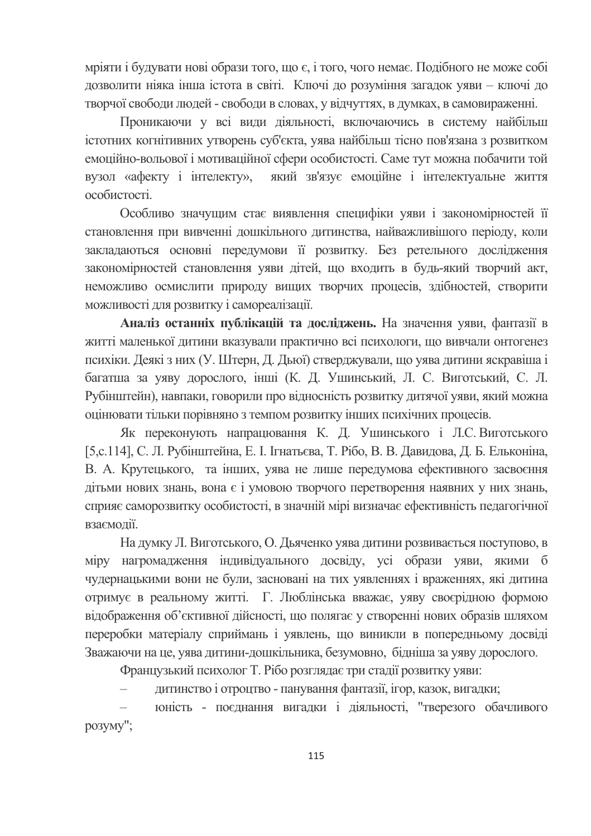мріяти і будувати нові образи того, що є, і того, чого немає. Подібного не може собі дозволити ніяка інша істота в світі. Ключі до розуміння загадок уяви - ключі до творчої свободи людей - свободи в словах, у відчуттях, в думках, в самовираженні.

Проникаючи у всі види діяльності, включаючись в систему найбільш істотних когнітивних утворень суб'єкта, уява найбільш тісно пов'язана з розвитком емоційно-вольової і мотиваційної сфери особистості. Саме тут можна побачити той який зв'язує емоційне і інтелектуальне життя вузол «афекту і інтелекту», особистості

Особливо значущим стає виявлення специфіки уяви і закономірностей її становлення при вивченні дошкільного дитинства, найважливішого періоду, коли закладаються основні передумови її розвитку. Без ретельного дослідження закономірностей становлення уяви дітей, що входить в будь-який творчий акт, неможливо осмислити природу вищих творчих процесів, здібностей, створити можливості для розвитку і самореалізації.

Аналіз останніх публікацій та досліджень. На значення уяви, фантазії в житті маленької дитини вказували практично всі психологи, що вивчали онтогенез психіки. Деякі з них (У. Штерн, Д. Дьюї) стверджували, що уява дитини яскравіша і багатша за уяву дорослого, інші (К. Д. Ушинський, Л. С. Виготський, С. Л. Рубінштейн), навпаки, говорили про відносність розвитку дитячої уяви, який можна оцінювати тільки порівняно з темпом розвитку інших психічних процесів.

Як переконують напрацювання К. Д. Ушинського і Л.С. Виготського [5,с.114], С. Л. Рубінштейна, Е. І. Ігнатьєва, Т. Рібо, В. В. Давидова, Д. Б. Ельконіна, В. А. Крутецького, та інших, уява не лише передумова ефективного засвоєння дітьми нових знань, вона є і умовою творчого перетворення наявних у них знань, сприяє саморозвитку особистості, в значній мірі визначає ефективність педагогічної взаємолії.

На думку Л. Виготського, О. Дьяченко уява дитини розвивається поступово, в міру нагромадження індивідуального досвіду, усі образи уяви, якими б чудернацькими вони не були, засновані на тих уявленнях і враженнях, які дитина отримує в реальному житті. Г. Люблінська вважає, уяву своєрідною формою відображення об'єктивної дійсності, що полягає у створенні нових образів шляхом переробки матеріалу сприймань і уявлень, що виникли в попередньому досвіді Зважаючи на це, уява дитини-дошкільника, безумовно, бідніша за уяву дорослого.

Французький психолог Т. Рібо розглядає три стадії розвитку уяви:

 $\equiv$ дитинство і отроцтво - панування фантазії, ігор, казок, вигадки;

юність - поєднання вигадки і діяльності, "тверезого обачливого розуму";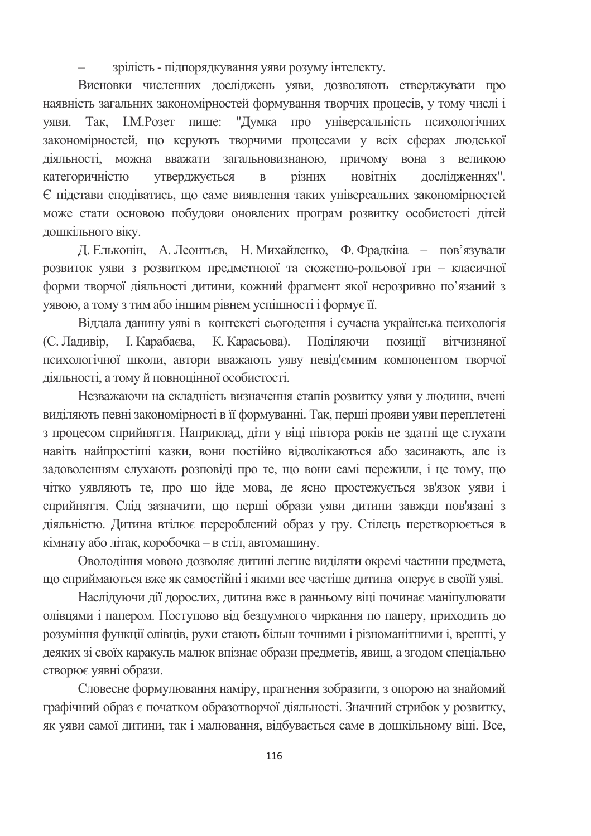зрілість - підпорядкування уяви розуму інтелекту.

Висновки численних досліджень уяви, дозволяють стверджувати про наявність загальних закономірностей формування творчих процесів, у тому числі і уяви. Так, І.М.Розет пише: "Думка про універсальність психологічних закономірностей, що керують творчими процесами у всіх сферах людської діяльності, можна вважати загальновизнаною, причому вона з великою категоричністю утверджується  $\overline{B}$ різних новітніх лослілженнях".  $\epsilon$  пілстави споліватись, що саме виявлення таких універсальних закономірностей може стати основою побудови оновлених програм розвитку особистості дітей дошкільного віку.

Д. Ельконін, А. Леонтьєв, Н. Михайленко, Ф. Фрадкіна - пов'язували розвиток уяви з розвитком предметноюї та сюжетно-рольової гри - класичної форми творчої діяльності дитини, кожний фрагмент якої нерозривно по'язаний з уявою, а тому з тим або іншим рівнем успішності і формує її.

Віддала данину уяві в контексті сьогодення і сучасна українська психологія (С. Ладивір, I. Карабаєва, К. Карасьова). Поліляючи позинії вітчизняної психологічної школи, автори вважають уяву невід'ємним компонентом творчої діяльності, а тому й повноцінної особистості.

Незважаючи на складність визначення етапів розвитку уяви у людини, вчені виділяють певні закономірності в її формуванні. Так, перші прояви уяви переплетені з процесом сприйняття. Наприклад, діти у віці півтора років не здатні ще слухати навіть найпростіші казки, вони постійно відволікаються або засинають, але із задоволенням слухають розповіді про те, що вони самі пережили, і це тому, що чітко уявляють те, про що йде мова, де ясно простежується зв'язок уяви і сприйняття. Слід зазначити, що перші образи уяви дитини завжди пов'язані з діяльністю. Дитина втілює перероблений образ у гру. Стілець перетворюється в кімнату або літак, коробочка – в стіл, автомашину.

Оволодіння мовою дозволяє дитині легше виділяти окремі частини предмета, що сприймаються вже як самостійні і якими все частіше дитина оперує в своїй уяві.

Наслідуючи дії дорослих, дитина вже в ранньому віці починає маніпулювати олівцями і папером. Поступово від бездумного чиркання по паперу, приходить до розуміння функції олівців, рухи стають більш точними і різноманітними і, врешті, у деяких зі своїх каракуль малюк впізнає образи предметів, явищ, а згодом спеціально створює уявні образи.

Словесне формулювання наміру, прагнення зобразити, з опорою на знайомий графічний образ є початком образотворчої діяльності. Значний стрибок у розвитку, як уяви самої дитини, так і малювання, відбувається саме в дошкільному віці. Все,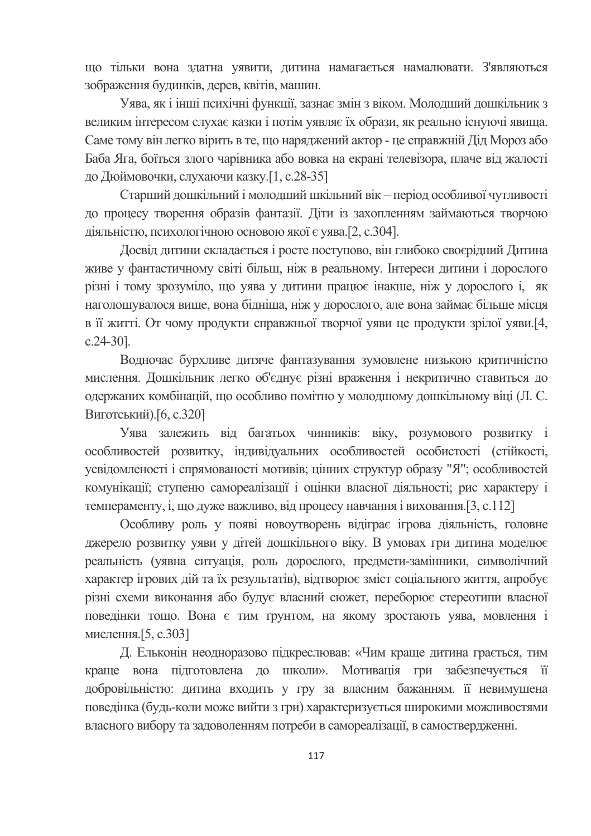що тільки вона здатна уявити, дитина намагається намалювати. З'являються зображення будинків, дерев, квітів, машин.

Уява, як і інші психічні функції, зазнає змін з віком. Молодший дошкільник з великим інтересом слухає казки і потім уявляє їх образи, як реально існуючі явища. Саме тому він легко вірить в те, що наряджений актор - це справжній Дід Мороз або Баба Яга, боїться злого чарівника або вовка на екрані телевізора, плаче від жалості до Дюймовочки, слухаючи казку. [1, с.28-35]

Старший дошкільний і молодший шкільний вік - період особливої чутливості до процесу творення образів фантазії. Діти із захопленням займаються творчою діяльністю, психологічною основою якої є уява. [2, с.304].

Досвід дитини складається і росте поступово, він глибоко своєрідний Дитина живе у фантастичному світі більш, ніж в реальному. Інтереси дитини і дорослого різні і тому зрозуміло, що уява у дитини працює інакше, ніж у дорослого і, як наголошувалося вище, вона бідніша, ніж у дорослого, але вона займає більше місця в її житті. От чому продукти справжньої творчої уяви це продукти зрілої уяви. [4,  $c.24-30$ ].

Водночас бурхливе дитяче фантазування зумовлене низькою критичністю мислення. Дошкільник легко об'єднує різні враження і некритично ставиться до одержаних комбінацій, що особливо помітно у молодшому дошкільному віці (Л. С. Виготський). [6, с. 320]

Уява залежить від багатьох чинників: віку, розумового розвитку і особливостей розвитку, індивідуальних особливостей особистості (стійкості, усвідомленості і спрямованості мотивів; цінних структур образу "Я"; особливостей комунікації; ступеню самореалізації і оцінки власної діяльності; рис характеру і темпераменту, і, що дуже важливо, від процесу навчання і виховання. [3, с.112]

Особливу роль у появі новоутворень відіграє ігрова діяльність, головне джерело розвитку уяви у дітей дошкільного віку. В умовах гри дитина моделює реальність (уявна ситуація, роль дорослого, предмети-замінники, символічний характер ігрових дій та їх результатів), відтворює зміст соціального життя, апробує різні схеми виконання або будує власний сюжет, переборює стереотипи власної поведінки тощо. Вона є тим грунтом, на якому зростають уява, мовлення і мислення. [5, с. 303]

Д. Ельконін неодноразово підкреслював: «Чим краще дитина грається, тим краще вона підготовлена до школи». Мотивація гри забезпечується її добровільністю: дитина входить у гру за власним бажанням. її невимушена поведінка (будь-коли може вийти з гри) характеризується широкими можливостями власного вибору та задоволенням потреби в самореалізації, в самоствердженні.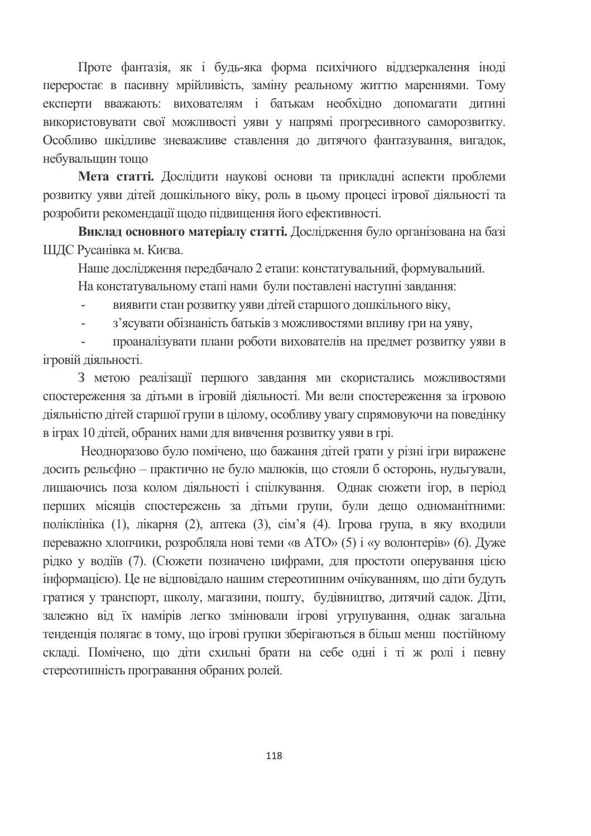Проте фантазія, як і будь-яка форма психічного віддзеркалення іноді переростає в пасивну мрійливість, заміну реальному життю мареннями. Тому експерти вважають: вихователям і батькам необхідно допомагати дитині використовувати свої можливості уяви у напрямі прогресивного саморозвитку. Особливо шкідливе зневажливе ставлення до дитячого фантазування, вигадок, небувальщин тощо

Мета статті. Дослідити наукові основи та прикладні аспекти проблеми розвитку уяви літей лошкільного віку, роль в шьому процесі ігрової ліяльності та розробити рекомендації щодо підвищення його ефективності.

Виклад основного матеріалу статті. Дослідження було організована на базі ШДС Русанівка м. Києва.

Наше дослідження передбачало 2 етапи: констатувальний, формувальний.

На констатувальному етапі нами були поставлені наступні завдання:

виявити стан розвитку уяви дітей старшого дошкільного віку,

з'ясувати обізнаність батьків з можливостями впливу гри на уяву,

проаналізувати плани роботи вихователів на предмет розвитку уяви в ігровій діяльності.

3 метою реалізації першого завдання ми скористались можливостями спостереження за дітьми в ігровій діяльності. Ми вели спостереження за ігровою діяльністю дітей старшої групи в цілому, особливу увагу спрямовуючи на поведінку в іграх 10 дітей, обраних нами для вивчення розвитку уяви в грі.

Неодноразово було помічено, що бажання дітей грати у різні ігри виражене досить рельєфно – практично не було малюків, що стояли б осторонь, нуды ували, лишаючись поза колом діяльності і спілкування. Однак сюжети ігор, в період перших місяців спостережень за дітьми групи, були дещо одноманітними: поліклініка (1), лікарня (2), аптека (3), сім'я (4). Ігрова група, в яку входили переважно хлопчики, розробляла нові теми «в АТО» (5) і «у волонтерів» (6). Дуже рідко у водіїв (7). (Сюжети позначено цифрами, для простоти оперування цією інформацією). Це не відповідало нашим стереотипним очікуванням, що діти будуть гратися у транспорт, школу, магазини, пошту, будівництво, дитячий садок. Діти, залежно від їх намірів легко змінювали ігрові угрупування, однак загальна тенденція полягає в тому, що ігрові групки зберігаються в більш менш постійному складі. Помічено, що діти схильні брати на себе одні і ті ж ролі і певну стереотипність програвання обраних ролей.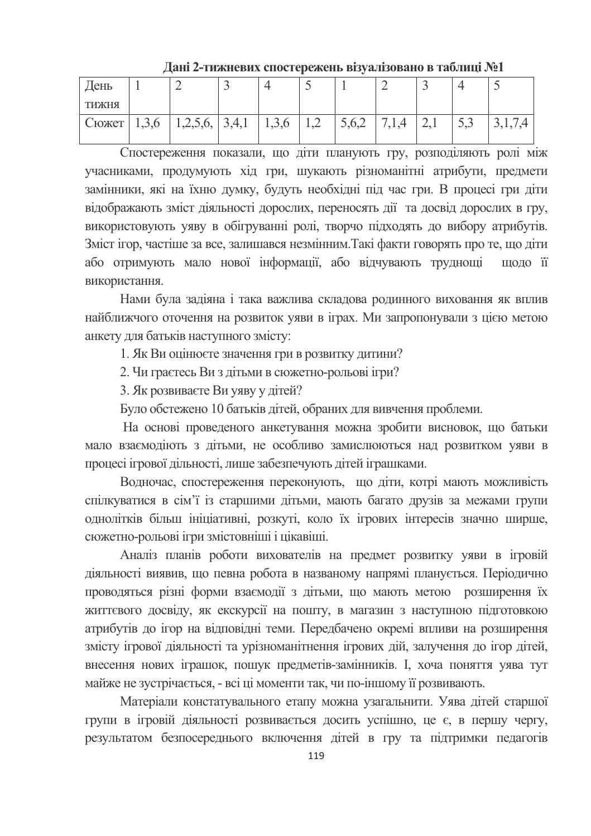| День          |       |          |       |       |         |       |                 | -              |     | -             |
|---------------|-------|----------|-------|-------|---------|-------|-----------------|----------------|-----|---------------|
| <b>RHAKHT</b> |       |          |       |       |         |       |                 |                |     |               |
| Сюжет         | 1,3,6 | 1,2,3,6, | 3,4,1 | 1,3,0 | $\perp$ | 5,0,2 | $^{\prime},1,4$ | $\overline{a}$ | ر د | $J + I + I +$ |
|               |       |          |       |       |         |       |                 |                |     |               |

Дані 2-тижневих спостережень візуалізовано в таблиці №1

Спостереження показали, що діти планують гру, розподіляють ролі між учасниками, продумують хід гри, шукають різноманітні атрибути, предмети замінники, які на їхню думку, будуть необхідні під час гри. В процесі гри діти відображають зміст діяльності дорослих, переносять дії та досвід дорослих в гру, використовують уяву в обігруванні ролі, творчо підходять до вибору атрибутів. Зміст ігор, частіше за все, залишався незмінним. Такі факти говорять про те, що діти або отримують мало нової інформації, або відчувають трудноші шоло її використання.

Нами була задіяна і така важлива складова родинного виховання як вплив найближчого оточення на розвиток уяви в іграх. Ми запропонували з цією метою анкету для батьків наступного змісту:

1. Як Ви оцінюєте значення гри в розвитку дитини?

2. Чи граєтесь Виздітьми в сюжетно-рольові ігри?

3. Як розвиваєте Ви уяву у дітей?

Було обстежено 10 батьків дітей, обраних для вивчення проблеми.

На основі проведеного анкетування можна зробити висновок, що батьки мало взаємодіють з дітьми, не особливо замислюються над розвитком уяви в процесі ігрової дільності, лише забезпечують дітей іграшками.

Водночас, спостереження переконують, що діти, котрі мають можливість спілкуватися в сім'ї із старшими дітьми, мають багато друзів за межами групи однолітків більш ініціативні, розкуті, коло їх ігрових інтересів значно ширше, сюжетно-рольові ігри змістовніші і цікавіші.

Аналіз планів роботи вихователів на предмет розвитку уяви в ігровій діяльності виявив, що певна робота в названому напрямі планується. Періодично проводяться різні форми взаємодії з дітьми, що мають метою розширення їх життєвого досвіду, як екскурсії на пошту, в магазин з наступною підготовкою атрибутів до ігор на відповідні теми. Передбачено окремі впливи на розширення змісту ігрової діяльності та урізноманітнення ігрових дій, залучення до ігор дітей, внесення нових іграшок, пошук предметів-замінників. І, хоча поняття уява тут майже не зустрічається, - всі ці моменти так, чи по-іншому її розвивають.

Матеріали констатувального етапу можна узагальнити. Уява дітей старшої групи в ігровій діяльності розвивається досить успішно, це є, в першу чергу, результатом безпосереднього включення дітей в гру та підтримки педагогів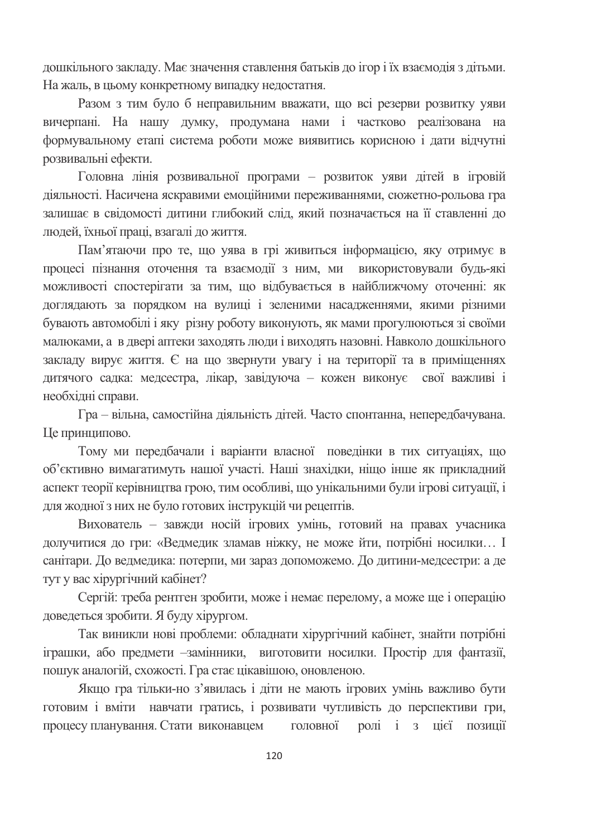дошкільного закладу. Має значення ставлення батьків до ігор і їх взаємодія з дітьми. На жаль, в цьому конкретному випадку недостатня.

Разом з тим було б неправильним вважати, що всі резерви розвитку уяви вичерпані. На нашу думку, продумана нами і частково реалізована на формувальному етапі система роботи може виявитись корисною і дати відчутні розвивальні ефекти.

Головна лінія розвивальної програми - розвиток уяви дітей в ігровій ліяльності. Насичена яскравими емоційними переживаннями, сюжетно-рольова гра залишає в свідомості дитини глибокий слід, який позначається на її ставленні до люлей, їхньої праці, взагалі до життя.

Пам'ятаючи про те, що уява в грі живиться інформацією, яку отримує в процесі пізнання оточення та взаємодії з ним, ми використовували будь-які можливості спостерігати за тим, що відбувається в найближчому оточенні: як доглядають за порядком на вулиці і зеленими насадженнями, якими різними бувають автомобілі і яку різну роботу виконують, як мами прогулюються зі своїми малюками, а в двері аптеки заходять люди і виходять назовні. Навколо дошкільного закладу вирує життя. Є на що звернути увагу і на території та в приміщеннях дитячого садка: медсестра, лікар, завідуюча - кожен виконує свої важливі і необхідні справи.

Гра - вільна, самостійна діяльність дітей. Часто спонтанна, непередбачувана. Це принципово.

Тому ми передбачали і варіанти власної поведінки в тих ситуаціях, що об'єктивно вимагатимуть нашої участі. Наші знахідки, ніщо інше як прикладний аспект теорії керівництва грою, тим особливі, що унікальними були ігрові ситуації, і для жодної з них не було готових інструкцій чи рецептів.

Вихователь - завжди носій ігрових умінь, готовий на правах учасника долучитися до гри: «Ведмедик зламав ніжку, не може йти, потрібні носилки... І санітари. До ведмедика: потерпи, ми зараз допоможемо. До дитини-медсестри: а де тут у вас хірургічний кабінет?

Сергій: треба рентген зробити, може і немає перелому, а може ще і операцію доведеться зробити. Я буду хірургом.

Так виникли нові проблеми: обладнати хірургічний кабінет, знайти потрібні іграшки, або предмети -замінники, виготовити носилки. Простір для фантазії, пошук аналогій, схожості. Гра стає цікавішою, оновленою.

Якщо гра тільки-но з'явилась і діти не мають ігрових умінь важливо бути готовим і вміти навчати гратись, і розвивати чутливість до перспективи гри, процесу планування. Стати виконавцем головної ролі і з цієї позиції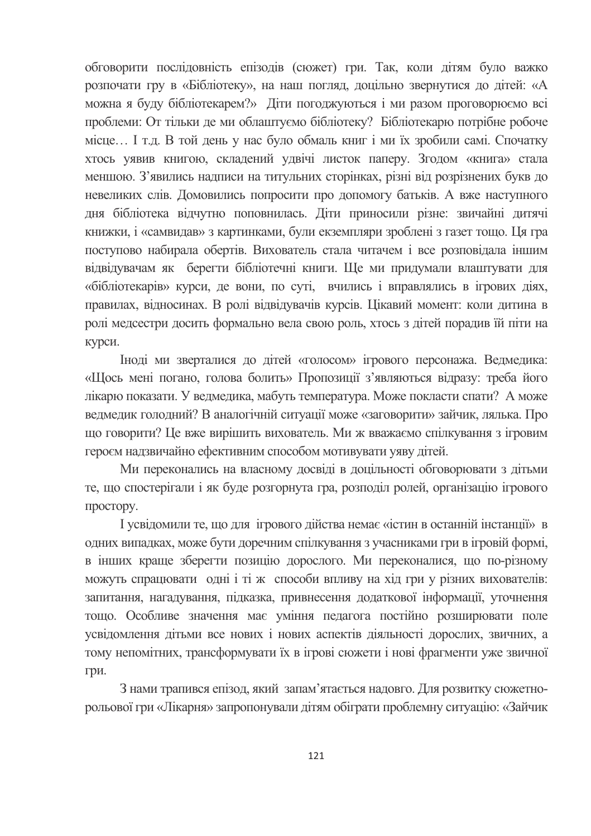обговорити послідовність епізодів (сюжет) гри. Так, коли дітям було важко розпочати гру в «Бібліотеку», на наш погляд, доцільно звернутися до дітей: «А можна я буду бібліотекарем?» Діти погоджуються і ми разом проговорюємо всі проблеми: От тільки де ми облаштуємо бібліотеку? Бібліотекарю потрібне робоче місце... І т.д. В той день у нас було обмаль книг і ми їх зробили самі. Спочатку хтось уявив книгою, складений удвічі листок паперу. Згодом «книга» стала меншою. З'явились надписи на титульних сторінках, різні від розрізнених букв до невеликих слів. Домовились попросити про допомогу батьків. А вже наступного дня бібліотека відчутно поповнилась. Діти приносили різне: звичайні дитячі книжки, і «самвидав» з картинками, були екземпляри зроблені з газет тощо. Ця гра поступово набирала обертів. Вихователь стала читачем і все розповідала іншим відвідувачам як берегти бібліотечні книги. Ще ми придумали влаштувати для «бібліотекарів» курси, де вони, по суті, вчились і вправлялись в ігрових діях, правилах, відносинах. В ролі відвідувачів курсів. Цікавий момент: коли дитина в ролі медсестри досить формально вела свою роль, хтось з дітей порадив їй піти на курси.

Іноді ми зверталися до дітей «голосом» ігрового персонажа. Ведмедика: «Щось мені погано, голова болить» Пропозиції з'являються відразу: треба його лікарю показати. У ведмедика, мабуть температура. Може покласти спати? А може ведмедик голодний? В аналогічній ситуації може «заговорити» зайчик, лялька. Про що говорити? Це вже вирішить вихователь. Ми ж вважаємо спілкування з ігровим героєм надзвичайно ефективним способом мотивувати уяву дітей.

Ми переконались на власному досвіді в доцільності обговорювати з дітьми те, що спостерігали і як буде розгорнута гра, розподіл ролей, організацію ігрового простору.

I усвідомили те, що для ігрового дійства немає «істин в останній інстанції» в одних випадках, може бути доречним спілкування з учасниками гри в ігровій формі, в інших краще зберегти позицію дорослого. Ми переконалися, що по-різному можуть спрацювати одні і ті ж способи впливу на хід гри у різних вихователів: запитання, нагадування, підказка, привнесення додаткової інформації, уточнення тощо. Особливе значення має уміння педагога постійно розширювати поле усвідомлення дітьми все нових і нових аспектів діяльності дорослих, звичних, а тому непомітних, трансформувати їх в ігрові сюжети і нові фрагменти уже звичної гри.

З нами трапився епізод, який запам'ятається надовго. Для розвитку сюжетнорольової гри «Лікарня» запропонували дітям обіграти проблемну ситуацію: «Зайчик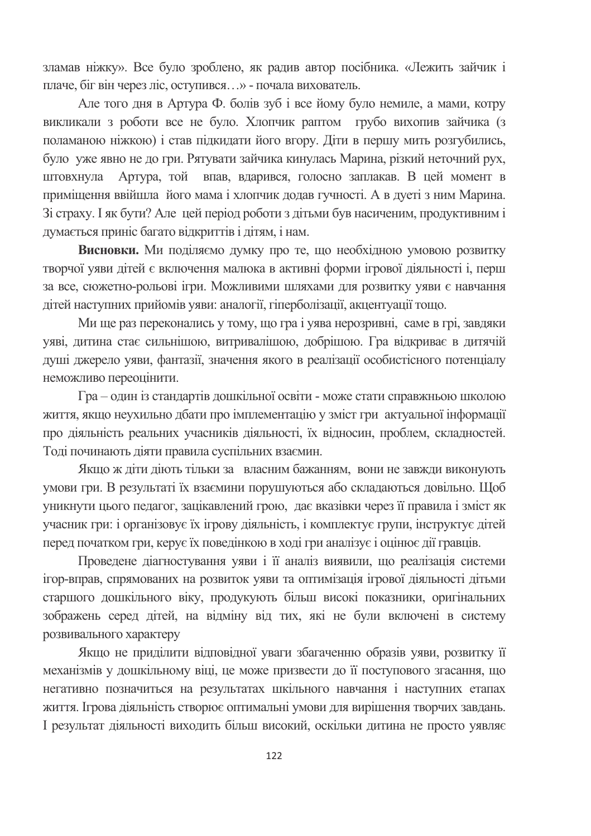зламав ніжку». Все було зроблено, як радив автор посібника. «Лежить зайчик і плаче, біг він через ліс, оступився...» - почала вихователь.

Але того дня в Артура Ф. болів зуб і все йому було немиле, а мами, котру викликали з роботи все не було. Хлопчик раптом грубо вихопив зайчика (з поламаною ніжкою) і став підкидати його вгору. Діти в першу мить розгубились, було уже явно не до гри. Рятувати зайчика кинулась Марина, різкий неточний рух, Артура, той впав, вдарився, голосно заплакав. В цей момент в штовхнула приміщення ввійшла його мама і хлопчик додав гучності. А в дуеті з ним Марина. Зі страху. І як бути? Але цей період роботи з дітьми був насиченим, продуктивним і думається приніс багато відкриттів і дітям, і нам.

Висновки. Ми поділяємо думку про те, що необхідною умовою розвитку творчої уяви дітей є включення малюка в активні форми ігрової діяльності і, перш за все, сюжетно-рольові ігри. Можливими шляхами для розвитку уяви є навчання дітей наступних прийомів уяви: аналогії, гіперболізації, акцентуації тощо.

Ми ще раз переконались у тому, що гра і уява нерозривні, саме в грі, завдяки уяві, дитина стає сильнішою, витривалішою, добрішою. Гра відкриває в дитячій душі джерело уяви, фантазії, значення якого в реалізації особистісного потенціалу неможливо переоцінити.

Гра - один із стандартів дошкільної освіти - може стати справжньою школою життя, якщо неухильно дбати про імплементацію у зміст гри актуальної інформації про діяльність реальних учасників діяльності, їх відносин, проблем, складностей. Тоді починають діяти правила суспільних взаємин.

Якщо ж діти діють тільки за власним бажанням, вони не завжди виконують умови гри. В результаті їх взаємини порушуються або складаються довільно. Щоб уникнути цього педагог, зацікавлений грою, дає вказівки через її правила і зміст як учасник гри: і організовує їх ігрову діяльність, і комплектує групи, інструктує дітей перед початком гри, керує їх поведінкою в ході гри аналізує і оцінює дії гравців.

Проведене діагностування уяви і її аналіз виявили, що реалізація системи ігор-вправ, спрямованих на розвиток уяви та оптимізація ігрової діяльності дітьми старшого дошкільного віку, продукують більш високі показники, оригінальних зображень серед дітей, на відміну від тих, які не були включені в систему розвивального характеру

Якщо не приділити відповідної уваги збагаченню образів уяви, розвитку її механізмів у дошкільному віці, це може призвести до її поступового згасання, що негативно позначиться на результатах шкільного навчання і наступних етапах життя. Ігрова діяльність створює оптимальні умови для вирішення творчих завдань. І результат діяльності виходить більш високий, оскільки дитина не просто уявляє